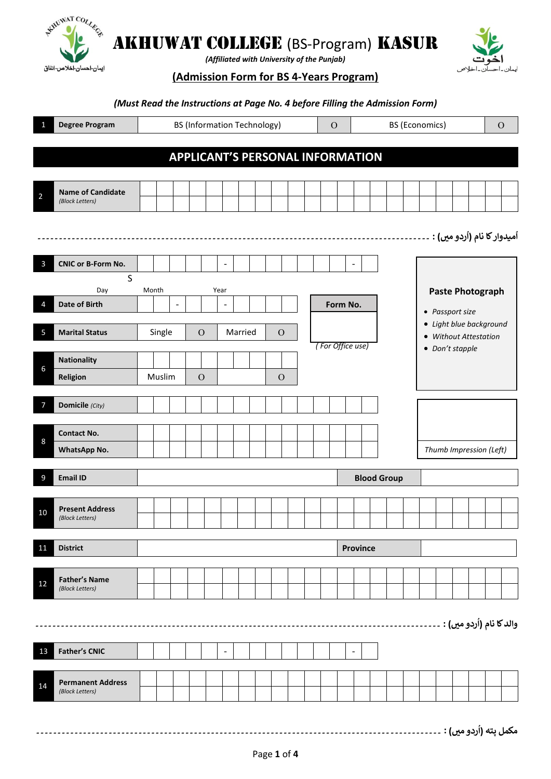

*(Affiliated with University of the Punjab)*



**(Admission Form for BS 4-Years Program)**

### *(Must Read the Instructions at Page No. 4 before Filling the Admission Form)*

|                | <b>Degree Program</b>                       | <b>BS (Information Technology)</b> |        |                          |                                         |      | <b>BS (Economics)</b><br>$\Omega$ |         |               |  |  | $\mathbf O$      |                          |  |                    |  |                 |  |                                                  |                           |  |
|----------------|---------------------------------------------|------------------------------------|--------|--------------------------|-----------------------------------------|------|-----------------------------------|---------|---------------|--|--|------------------|--------------------------|--|--------------------|--|-----------------|--|--------------------------------------------------|---------------------------|--|
|                |                                             |                                    |        |                          |                                         |      |                                   |         |               |  |  |                  |                          |  |                    |  |                 |  |                                                  |                           |  |
|                |                                             |                                    |        |                          | <b>APPLICANT'S PERSONAL INFORMATION</b> |      |                                   |         |               |  |  |                  |                          |  |                    |  |                 |  |                                                  |                           |  |
| $\overline{2}$ | <b>Name of Candidate</b><br>(Block Letters) |                                    |        |                          |                                         |      |                                   |         |               |  |  |                  |                          |  |                    |  |                 |  |                                                  |                           |  |
|                |                                             |                                    |        |                          |                                         |      |                                   |         |               |  |  |                  |                          |  |                    |  |                 |  |                                                  |                           |  |
|                |                                             |                                    |        |                          |                                         |      |                                   |         |               |  |  |                  |                          |  |                    |  |                 |  | اُميدوار کا نام (اُردو ميں) : .                  |                           |  |
| 3              | <b>CNIC or B-Form No.</b>                   |                                    |        |                          |                                         |      | $\qquad \qquad \blacksquare$      |         |               |  |  |                  | $\overline{\phantom{a}}$ |  |                    |  |                 |  |                                                  |                           |  |
|                | $\mathsf{S}$<br>Day                         |                                    | Month  |                          |                                         | Year |                                   |         |               |  |  |                  |                          |  |                    |  |                 |  | <b>Paste Photograph</b>                          |                           |  |
| 4              | Date of Birth                               |                                    |        | $\overline{\phantom{a}}$ |                                         |      | $\overline{\phantom{a}}$          |         |               |  |  | Form No.         |                          |  |                    |  | • Passport size |  |                                                  |                           |  |
| 5              | <b>Marital Status</b>                       |                                    | Single |                          | $\mathcal{O}$                           |      |                                   | Married | $\mathcal{O}$ |  |  |                  |                          |  |                    |  |                 |  | • Light blue background<br>• Without Attestation |                           |  |
|                | <b>Nationality</b>                          |                                    |        |                          |                                         |      |                                   |         |               |  |  | (For Office use) |                          |  |                    |  | • Don't stapple |  |                                                  |                           |  |
| 6              | Religion                                    |                                    | Muslim |                          | $\mathcal{O}$                           |      |                                   |         | $\mathcal{O}$ |  |  |                  |                          |  |                    |  |                 |  |                                                  |                           |  |
|                | Domicile (City)                             |                                    |        |                          |                                         |      |                                   |         |               |  |  |                  |                          |  |                    |  |                 |  |                                                  |                           |  |
|                | <b>Contact No.</b>                          |                                    |        |                          |                                         |      |                                   |         |               |  |  |                  |                          |  |                    |  |                 |  |                                                  |                           |  |
| 8              | WhatsApp No.                                |                                    |        |                          |                                         |      |                                   |         |               |  |  |                  |                          |  |                    |  |                 |  | Thumb Impression (Left)                          |                           |  |
| 9              | <b>Email ID</b>                             |                                    |        |                          |                                         |      |                                   |         |               |  |  |                  |                          |  | <b>Blood Group</b> |  |                 |  |                                                  |                           |  |
|                |                                             |                                    |        |                          |                                         |      |                                   |         |               |  |  |                  |                          |  |                    |  |                 |  |                                                  |                           |  |
| 10             | <b>Present Address</b><br>(Block Letters)   |                                    |        |                          |                                         |      |                                   |         |               |  |  |                  |                          |  |                    |  |                 |  |                                                  |                           |  |
| <u>11</u>      | <b>District</b>                             |                                    |        |                          |                                         |      |                                   |         |               |  |  |                  | Province                 |  |                    |  |                 |  |                                                  |                           |  |
|                |                                             |                                    |        |                          |                                         |      |                                   |         |               |  |  |                  |                          |  |                    |  |                 |  |                                                  |                           |  |
| 12             | <b>Father's Name</b><br>(Block Letters)     |                                    |        |                          |                                         |      |                                   |         |               |  |  |                  |                          |  |                    |  |                 |  |                                                  |                           |  |
|                |                                             |                                    |        |                          |                                         |      |                                   |         |               |  |  |                  |                          |  |                    |  |                 |  | والد كا نام (اُردو ميں) :                        |                           |  |
|                |                                             |                                    |        |                          |                                         |      |                                   |         |               |  |  |                  |                          |  |                    |  |                 |  |                                                  |                           |  |
| 13             | <b>Father's CNIC</b>                        |                                    |        |                          |                                         |      | $\overline{\phantom{a}}$          |         |               |  |  |                  | $\overline{\phantom{a}}$ |  |                    |  |                 |  |                                                  |                           |  |
| 14             | <b>Permanent Address</b><br>(Block Letters) |                                    |        |                          |                                         |      |                                   |         |               |  |  |                  |                          |  |                    |  |                 |  |                                                  |                           |  |
|                |                                             |                                    |        |                          |                                         |      |                                   |         |               |  |  |                  |                          |  |                    |  |                 |  |                                                  | $\mathbf{r}$ $\mathbf{r}$ |  |

**مکمل ردو مںی( : پتہ )ا** ۔۔۔۔۔۔۔۔ ۔۔۔۔ ۔۔۔۔۔۔۔۔۔۔۔۔۔۔۔۔۔۔۔۔۔۔۔۔۔۔۔۔۔۔۔۔۔۔۔۔۔۔۔۔۔۔۔۔۔۔۔۔۔۔۔۔۔۔۔۔۔۔۔۔۔۔۔۔۔۔۔۔۔۔۔۔۔۔۔۔۔۔۔۔۔۔۔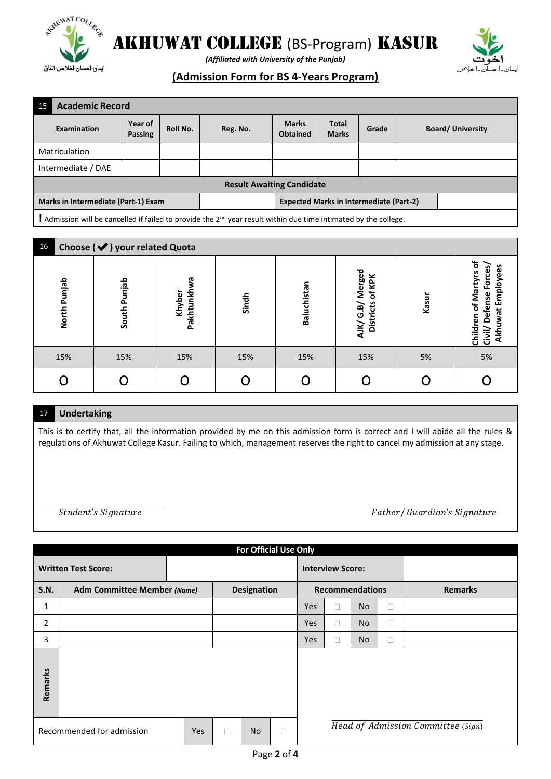



*(Affiliated with University of the Punjab)*

## **(Admission Form for BS 4-Years Program)**

| 15                                  | <b>Academic Record</b>                                                                                                       |                           |          |          |                                                |                              |       |  |                         |
|-------------------------------------|------------------------------------------------------------------------------------------------------------------------------|---------------------------|----------|----------|------------------------------------------------|------------------------------|-------|--|-------------------------|
|                                     | Examination                                                                                                                  | Year of<br><b>Passing</b> | Roll No. | Reg. No. | <b>Marks</b><br><b>Obtained</b>                | <b>Total</b><br><b>Marks</b> | Grade |  | <b>Board/University</b> |
|                                     | <b>Matriculation</b>                                                                                                         |                           |          |          |                                                |                              |       |  |                         |
|                                     | Intermediate / DAE                                                                                                           |                           |          |          |                                                |                              |       |  |                         |
| <b>Result Awaiting Candidate</b>    |                                                                                                                              |                           |          |          |                                                |                              |       |  |                         |
| Marks in Intermediate (Part-1) Exam |                                                                                                                              |                           |          |          | <b>Expected Marks in Intermediate (Part-2)</b> |                              |       |  |                         |
|                                     | ! Admission will be cancelled if failed to provide the 2 <sup>nd</sup> year result within due time intimated by the college. |                           |          |          |                                                |                              |       |  |                         |

| 16 | Choose (V) your related Quota |              |                          |       |             |                                                   |       |                                                                                                               |  |  |  |
|----|-------------------------------|--------------|--------------------------|-------|-------------|---------------------------------------------------|-------|---------------------------------------------------------------------------------------------------------------|--|--|--|
|    | North Punjab                  | South Punjab | ᢐ<br>Pakhtunkh<br>Khyber | Sindh | Baluchistan | Merged<br>of KPK<br>AJK/ G.B/<br><b>Districts</b> | Kasur | ъ<br>S<br>ë<br>S<br><b>Porce</b><br>ζ<br>음<br>of Mart<br><b>Defense</b><br>Ξ<br>ū<br>ᢛ<br>۵Ë<br>Child<br>ίiν) |  |  |  |
|    | 15%                           | 15%          | 15%                      | 15%   | 15%         | 15%                                               | 5%    | 5%                                                                                                            |  |  |  |
|    |                               |              |                          |       |             |                                                   |       |                                                                                                               |  |  |  |

### 17❖ **Undertaking**

This is to certify that, all the information provided by me on this admission form is correct and I will abide all the rules & regulations of Akhuwat College Kasur. Failing to which, management reserves the right to cancel my admission at any stage.

Student's Signature Theory of Tather and Tather and Tather and Tather and Tather and Tather and Tather and Tather and Tather and Tather and Tather and Tather and Tather and Tather and Tather and Tather and Tather and Tathe

|                                  | <b>For Official Use Only</b>       |                    |           |                         |  |                        |  |           |                                    |                |
|----------------------------------|------------------------------------|--------------------|-----------|-------------------------|--|------------------------|--|-----------|------------------------------------|----------------|
| <b>Written Test Score:</b>       |                                    |                    |           | <b>Interview Score:</b> |  |                        |  |           |                                    |                |
| <b>S.N.</b>                      | <b>Adm Committee Member (Name)</b> | <b>Designation</b> |           |                         |  | <b>Recommendations</b> |  |           |                                    | <b>Remarks</b> |
| $\mathbf{1}$                     |                                    |                    |           |                         |  | <b>Yes</b>             |  | <b>No</b> | Н                                  |                |
| 2                                |                                    |                    |           |                         |  | <b>Yes</b>             |  | <b>No</b> | Н                                  |                |
| 3                                |                                    |                    |           |                         |  | <b>Yes</b>             |  | No        | П                                  |                |
| Remarks                          |                                    |                    |           |                         |  |                        |  |           |                                    |                |
| Recommended for admission<br>Yes |                                    | $\Box$             | <b>No</b> | $\Box$                  |  |                        |  |           | Head of Admission Committee (Sign) |                |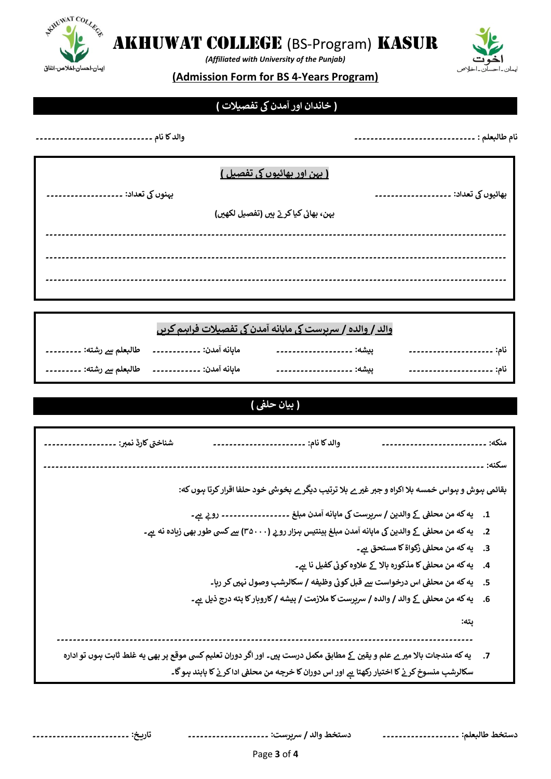

*(Affiliated with University of the Punjab)*

### **(Admission Form for BS 4-Years Program)**

# **( مدنیک ٓ خاندان اور ا تفصیالت )**

| والدكا نام ۔۔۔۔۔۔۔۔۔۔۔ | نام طالبعلم : ۔.                      |
|------------------------|---------------------------------------|
|                        | ( بہن اور بھائیوں کی تفصیل )          |
| بہنوں کی تعداد: ۔      | بھائیوں کی تعداد: ۔                   |
|                        | بہن، بھائی کیا کرتے ہیں (تفصیل لکھیں) |
|                        |                                       |
|                        |                                       |
|                        |                                       |

|  | والد / والده / سربرست کی ماہانه آمدن کی تفصیلات فراہیم کریں |  |
|--|-------------------------------------------------------------|--|
|  |                                                             |  |
|  |                                                             |  |

**۔۔۔۔۔۔۔۔۔۔۔۔۔۔۔۔۔۔۔۔۔۔۔۔۔۔۔۔۔۔۔۔۔۔۔۔۔۔۔۔۔۔۔۔۔۔۔۔۔۔۔۔۔۔۔۔۔۔۔۔۔۔۔۔۔۔۔۔۔۔۔۔۔۔۔۔۔۔۔۔۔۔۔۔۔۔۔۔۔۔۔۔۔۔۔۔۔۔۔۔۔۔۔۔۔۔۔۔۔۔۔۔۔۔** 

#### **) بیان حلف )**

| شناختي كارڈ نمبر: .                                                                                                            | والدكا نام: ۔۔۔۔۔۔۔۔۔۔۔۔۔۔۔۔۔۔۔۔۔۔                                                                         | --------------------                                           | منكه: |
|--------------------------------------------------------------------------------------------------------------------------------|------------------------------------------------------------------------------------------------------------|----------------------------------------------------------------|-------|
|                                                                                                                                |                                                                                                            |                                                                | سكنه: |
|                                                                                                                                | بقائمی ہوش و ہواس خمسه بلا اکراه و جبر غیر ے بلا ترتیب دیگر ے بخوشی خود حلفا اقرار کرتا ہوں که:            |                                                                |       |
|                                                                                                                                | 1.     یه که من محلفی کے والدین / سرپرست کی ماہانه آمدن مبلغ ۔۔۔۔۔۔۔۔۔۔۔۔۔۔۔۔۔۔ روپے ہے۔                   |                                                                |       |
|                                                                                                                                | 2.     یه که من محلفی کے والدین کی ماہانه آمدن مبلغ پینتیس ہرزار رو بے (٣۵٠٠٠) سے کسی طور بھی زیادہ نه ہے۔ |                                                                |       |
|                                                                                                                                |                                                                                                            | 3.     يه كه من محلفي زكواة كا مستحق ـهـِ ـ                    |       |
|                                                                                                                                |                                                                                                            | 4.     يه كه من محلفى كا مذكوره بالا كے علاوه كوئى كفيل نا ہے۔ |       |
|                                                                                                                                | 5.     يه كه من محلفي اس درخواست سے قبل كوئي وظيفه / سكالرشپ وصول نہيں كر رہا۔                             |                                                                |       |
|                                                                                                                                | 6.     یه که من محلفی کے والد / والده / سرپرست کا ملازمت / پیشه / کاروبار کا پته درج ذیل ہے۔               |                                                                |       |
|                                                                                                                                |                                                                                                            | يته:                                                           |       |
| 7.     یه که مندجات بالا میر ے علم و یقین کے مطابق مکمل درست ہیں۔ اور اگر دوران تعلیم کسی موقع پر بھی یه غلط ثابت ہوں تو ادارہ |                                                                                                            |                                                                |       |
|                                                                                                                                | سکالرشپ منسوخ کر نے کا اختیار رکھتا ہے اور اس دوران کا خرچه من محلفی ادا کر نے کا پابند ہںو گا۔            |                                                                |       |